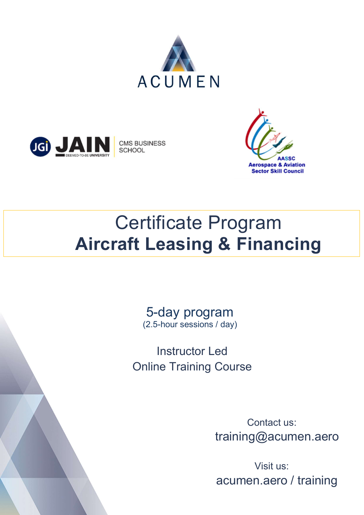



 $\Box$ 

**CMS BUSINESS SCHOOL** 



# Certificate Program Aircraft Leasing & Financing

5-day program (2.5-hour sessions / day)

Instructor Led Online Training Course

> Contact us: training@acumen.aero

 Visit us: acumen.aero / training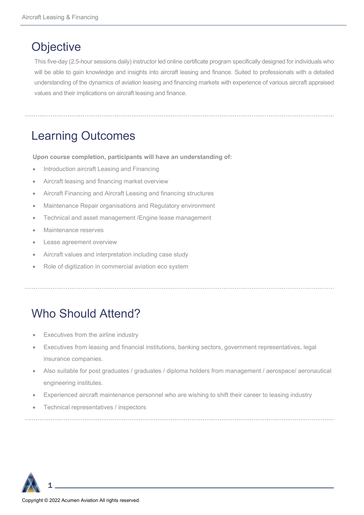### **Objective**

This five-day (2.5-hour sessions daily) instructor led online certificate program specifically designed for individuals who will be able to gain knowledge and insights into aircraft leasing and finance. Suited to professionals with a detailed understanding of the dynamics of aviation leasing and financing markets with experience of various aircraft appraised values and their implications on aircraft leasing and finance.

Learning Outcomes

Upon course completion, participants will have an understanding of:

- Introduction aircraft Leasing and Financing
- Aircraft leasing and financing market overview
- Aircraft Financing and Aircraft Leasing and financing structures
- Maintenance Repair organisations and Regulatory environment
- Technical and asset management /Engine lease management
- Maintenance reserves
- Lease agreement overview
- Aircraft values and interpretation including case study
- Role of digitization in commercial aviation eco system

### Who Should Attend?

- Executives from the airline industry
- Executives from leasing and financial institutions, banking sectors, government representatives, legal insurance companies.
- Also suitable for post graduates / graduates / diploma holders from management / aerospace/ aeronautical engineering institutes.
- Experienced aircraft maintenance personnel who are wishing to shift their career to leasing industry
- Technical representatives / inspectors



1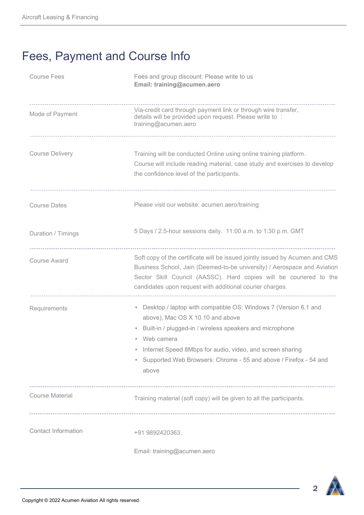## Fees, Payment and Course Info

| <b>Course Fees</b>         | Fees and group discount: Please write to us<br>Email: training@acumen.aero                                                                                                                                                                                                                                                  |
|----------------------------|-----------------------------------------------------------------------------------------------------------------------------------------------------------------------------------------------------------------------------------------------------------------------------------------------------------------------------|
| Mode of Payment            | Via-credit card through payment link or through wire transfer,<br>details will be provided upon request. Please write to :<br>training@acumen.aero                                                                                                                                                                          |
| <b>Course Delivery</b>     | Training will be conducted Online using online training platform.<br>Course will include reading material, case study and exercises to develop<br>the confidence level of the participants.                                                                                                                                 |
| <b>Course Dates</b>        | Please visit our website: acumen.aero/training                                                                                                                                                                                                                                                                              |
| Duration / Timings         | 5 Days / 2.5-hour sessions daily. 11:00 a.m. to 1:30 p.m. GMT                                                                                                                                                                                                                                                               |
| <b>Course Award</b>        | Soft copy of the certificate will be issued jointly issued by Acumen and CMS<br>Business School, Jain (Deemed-to-be university) / Aerospace and Aviation<br>Sector Skill Council (AASSC). Hard copies will be couriered to the<br>candidates upon request with additional courier charges.                                  |
| Requirements               | • Desktop / laptop with compatible OS: Windows 7 (Version 6.1 and<br>above), Mac OS X 10.10 and above<br>Built-in / plugged-in / wireless speakers and microphone<br>• Web camera<br>Internet Speed 8Mbps for audio, video, and screen sharing<br>Supported Web Browsers: Chrome - 55 and above / Firefox - 54 and<br>above |
| <b>Course Material</b>     | Training material (soft copy) will be given to all the participants.                                                                                                                                                                                                                                                        |
| <b>Contact Information</b> | +91 9892420363.<br>Email: training@acumen.aero                                                                                                                                                                                                                                                                              |

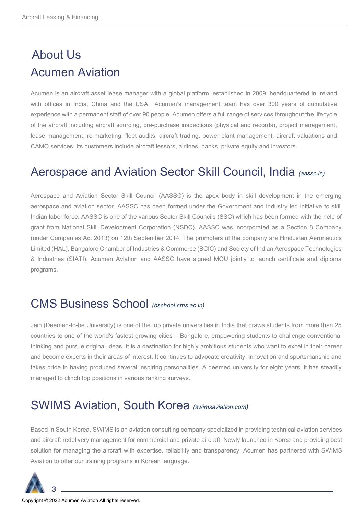# About Us Acumen Aviation

Acumen is an aircraft asset lease manager with a global platform, established in 2009, headquartered in Ireland with offices in India, China and the USA. Acumen's management team has over 300 years of cumulative experience with a permanent staff of over 90 people. Acumen offers a full range of services throughout the lifecycle of the aircraft including aircraft sourcing, pre-purchase inspections (physical and records), project management, lease management, re-marketing, fleet audits, aircraft trading, power plant management, aircraft valuations and CAMO services. Its customers include aircraft lessors, airlines, banks, private equity and investors.

### Aerospace and Aviation Sector Skill Council, India (aassc.in)

Aerospace and Aviation Sector Skill Council (AASSC) is the apex body in skill development in the emerging aerospace and aviation sector. AASSC has been formed under the Government and Industry led initiative to skill Indian labor force. AASSC is one of the various Sector Skill Councils (SSC) which has been formed with the help of grant from National Skill Development Corporation (NSDC). AASSC was incorporated as a Section 8 Company (under Companies Act 2013) on 12th September 2014. The promoters of the company are Hindustan Aeronautics Limited (HAL), Bangalore Chamber of Industries & Commerce (BCIC) and Society of Indian Aerospace Technologies & Industries (SIATI). Acumen Aviation and AASSC have signed MOU jointly to launch certificate and diploma programs.

#### CMS Business School (bschool.cms.ac.in)

Jain (Deemed-to-be University) is one of the top private universities in India that draws students from more than 25 countries to one of the world's fastest growing cities – Bangalore, empowering students to challenge conventional thinking and pursue original ideas. It is a destination for highly ambitious students who want to excel in their career and become experts in their areas of interest. It continues to advocate creativity, innovation and sportsmanship and takes pride in having produced several inspiring personalities. A deemed university for eight years, it has steadily managed to clinch top positions in various ranking surveys.

### SWIMS Aviation, South Korea (swimsaviation.com)

Based in South Korea, SWIMS is an aviation consulting company specialized in providing technical aviation services and aircraft redelivery management for commercial and private aircraft. Newly launched in Korea and providing best solution for managing the aircraft with expertise, reliability and transparency. Acumen has partnered with SWIMS Aviation to offer our training programs in Korean language.

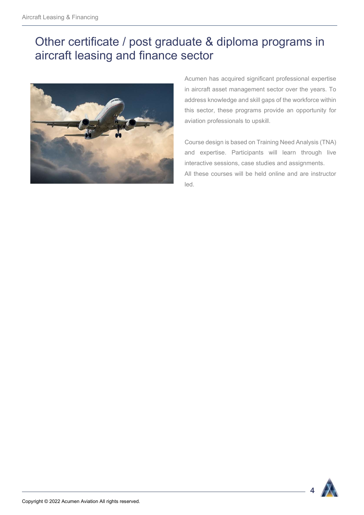### Other certificate / post graduate & diploma programs in aircraft leasing and finance sector



Acumen has acquired significant professional expertise in aircraft asset management sector over the years. To address knowledge and skill gaps of the workforce within this sector, these programs provide an opportunity for aviation professionals to upskill.

Course design is based on Training Need Analysis (TNA) and expertise. Participants will learn through live interactive sessions, case studies and assignments. All these courses will be held online and are instructor led.



4